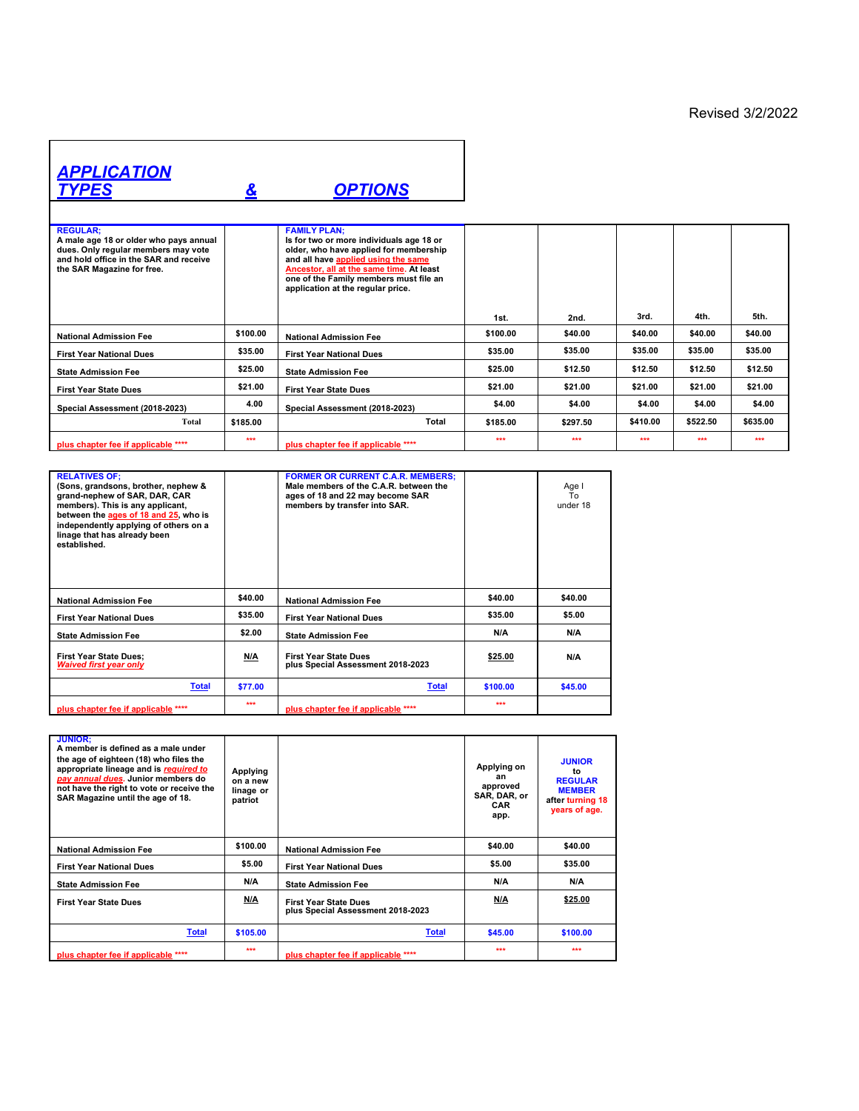## *APPLICATION TYPES & OPTIONS* **REGULAR; A male age 18 or older who pays annual dues. Only regular members may vote and hold office in the SAR and receive the SAR Magazine for free. FAMILY PLAN;**<br>Is for two or more individuals age 18 or<br>older, who have applied for membership<br>and all have <u>applied using the same</u><br><u>Ancestor, all at the same time</u>. At least<br>one of the Family members must file an<br>applica

|                                     |          | one of the Family members must file an<br>application at the regular price. |          |          |          |          |          |
|-------------------------------------|----------|-----------------------------------------------------------------------------|----------|----------|----------|----------|----------|
|                                     |          |                                                                             | 1st.     | 2nd.     | 3rd.     | 4th.     | 5th.     |
| <b>National Admission Fee</b>       | \$100.00 | <b>National Admission Fee</b>                                               | \$100.00 | \$40.00  | \$40.00  | \$40.00  | \$40.00  |
| <b>First Year National Dues</b>     | \$35.00  | <b>First Year National Dues</b>                                             | \$35.00  | \$35.00  | \$35.00  | \$35.00  | \$35.00  |
| <b>State Admission Fee</b>          | \$25.00  | <b>State Admission Fee</b>                                                  | \$25.00  | \$12.50  | \$12.50  | \$12.50  | \$12.50  |
| <b>First Year State Dues</b>        | \$21.00  | <b>First Year State Dues</b>                                                | \$21.00  | \$21.00  | \$21.00  | \$21.00  | \$21.00  |
| Special Assessment (2018-2023)      | 4.00     | Special Assessment (2018-2023)                                              | \$4.00   | \$4.00   | \$4.00   | \$4.00   | \$4.00   |
| Total                               | \$185.00 | Total                                                                       | \$185.00 | \$297.50 | \$410.00 | \$522.50 | \$635.00 |
| plus chapter fee if applicable **** | ***      | plus chapter fee if applicable ****                                         | ***      | ***      | ***      | ***      | ***      |

| <b>RELATIVES OF:</b><br>(Sons, grandsons, brother, nephew &<br>grand-nephew of SAR, DAR, CAR<br>members). This is any applicant,<br>between the ages of 18 and 25, who is<br>independently applying of others on a<br>linage that has already been<br>established. |         | <b>FORMER OR CURRENT C.A.R. MEMBERS:</b><br>Male members of the C.A.R. between the<br>ages of 18 and 22 may become SAR<br>members by transfer into SAR. |          | Age I<br>To<br>under 18 |
|--------------------------------------------------------------------------------------------------------------------------------------------------------------------------------------------------------------------------------------------------------------------|---------|---------------------------------------------------------------------------------------------------------------------------------------------------------|----------|-------------------------|
| <b>National Admission Fee</b>                                                                                                                                                                                                                                      | \$40.00 | <b>National Admission Fee</b>                                                                                                                           | \$40.00  | \$40.00                 |
| <b>First Year National Dues</b>                                                                                                                                                                                                                                    | \$35.00 | <b>First Year National Dues</b>                                                                                                                         | \$35.00  | \$5.00                  |
| <b>State Admission Fee</b>                                                                                                                                                                                                                                         | \$2.00  | <b>State Admission Fee</b>                                                                                                                              | N/A      | N/A                     |
| <b>First Year State Dues:</b><br><b>Waived first year only</b>                                                                                                                                                                                                     | N/A     | <b>First Year State Dues</b><br>plus Special Assessment 2018-2023                                                                                       | \$25.00  | N/A                     |
| <b>Total</b>                                                                                                                                                                                                                                                       | \$77.00 | <b>Total</b>                                                                                                                                            | \$100.00 | \$45.00                 |
| plus chapter fee if applicable ****                                                                                                                                                                                                                                | ***     | plus chapter fee if applicable ****                                                                                                                     | ***      |                         |

| <b>JUNIOR:</b><br>A member is defined as a male under<br>the age of eighteen (18) who files the<br>appropriate lineage and is required to<br>pay annual dues. Junior members do<br>not have the right to vote or receive the<br>SAR Magazine until the age of 18. | Applying<br>on a new<br>linage or<br>patriot |                                                                   | Applying on<br>an<br>approved<br>SAR, DAR, or<br>CAR<br>app. | <b>JUNIOR</b><br>t٥<br><b>REGULAR</b><br><b>MEMBER</b><br>after turning 18<br>years of age. |
|-------------------------------------------------------------------------------------------------------------------------------------------------------------------------------------------------------------------------------------------------------------------|----------------------------------------------|-------------------------------------------------------------------|--------------------------------------------------------------|---------------------------------------------------------------------------------------------|
| <b>National Admission Fee</b>                                                                                                                                                                                                                                     | \$100.00                                     | <b>National Admission Fee</b>                                     | \$40.00                                                      | \$40.00                                                                                     |
| <b>First Year National Dues</b>                                                                                                                                                                                                                                   | \$5.00                                       | <b>First Year National Dues</b>                                   | \$5.00                                                       | \$35.00                                                                                     |
| <b>State Admission Fee</b>                                                                                                                                                                                                                                        | N/A                                          | <b>State Admission Fee</b>                                        | N/A                                                          | N/A                                                                                         |
| <b>First Year State Dues</b>                                                                                                                                                                                                                                      | N/A                                          | <b>First Year State Dues</b><br>plus Special Assessment 2018-2023 | N/A                                                          | \$25.00                                                                                     |
| <b>Total</b>                                                                                                                                                                                                                                                      | \$105.00                                     | <b>Total</b>                                                      | \$45.00                                                      | \$100.00                                                                                    |
| plus chapter fee if applicable ****                                                                                                                                                                                                                               | ***                                          | plus chapter fee if applicable ****                               | 444                                                          | $+ + +$                                                                                     |